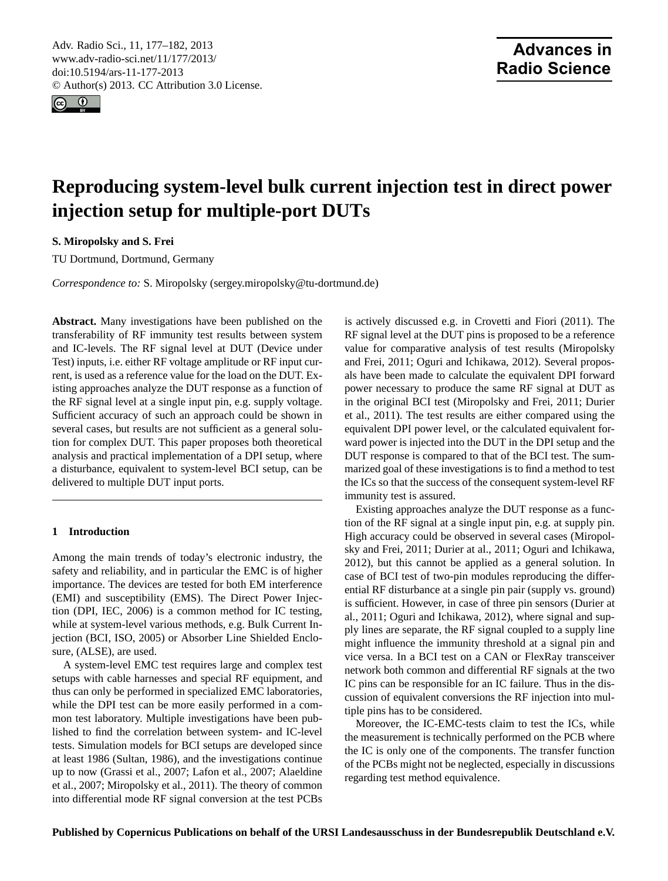<span id="page-0-0"></span>Adv. Radio Sci., 11, 177–182, 2013 www.adv-radio-sci.net/11/177/2013/ doi:10.5194/ars-11-177-2013 © Author(s) 2013. CC Attribution 3.0 License.



# **Reproducing system-level bulk current injection test in direct power injection setup for multiple-port DUTs**

**S. Miropolsky and S. Frei**

TU Dortmund, Dortmund, Germany

*Correspondence to:* S. Miropolsky (sergey.miropolsky@tu-dortmund.de)

**Abstract.** Many investigations have been published on the transferability of RF immunity test results between system and IC-levels. The RF signal level at DUT (Device under Test) inputs, i.e. either RF voltage amplitude or RF input current, is used as a reference value for the load on the DUT. Existing approaches analyze the DUT response as a function of the RF signal level at a single input pin, e.g. supply voltage. Sufficient accuracy of such an approach could be shown in several cases, but results are not sufficient as a general solution for complex DUT. This paper proposes both theoretical analysis and practical implementation of a DPI setup, where a disturbance, equivalent to system-level BCI setup, can be delivered to multiple DUT input ports.

## **1 Introduction**

Among the main trends of today's electronic industry, the safety and reliability, and in particular the EMC is of higher importance. The devices are tested for both EM interference (EMI) and susceptibility (EMS). The Direct Power Injection (DPI, IEC, 2006) is a common method for IC testing, while at system-level various methods, e.g. Bulk Current Injection (BCI, ISO, 2005) or Absorber Line Shielded Enclosure, (ALSE), are used.

A system-level EMC test requires large and complex test setups with cable harnesses and special RF equipment, and thus can only be performed in specialized EMC laboratories, while the DPI test can be more easily performed in a common test laboratory. Multiple investigations have been published to find the correlation between system- and IC-level tests. Simulation models for BCI setups are developed since at least 1986 (Sultan, 1986), and the investigations continue up to now (Grassi et al., 2007; Lafon et al., 2007; Alaeldine et al., 2007; Miropolsky et al., 2011). The theory of common into differential mode RF signal conversion at the test PCBs is actively discussed e.g. in Crovetti and Fiori (2011). The RF signal level at the DUT pins is proposed to be a reference value for comparative analysis of test results (Miropolsky and Frei, 2011; Oguri and Ichikawa, 2012). Several proposals have been made to calculate the equivalent DPI forward power necessary to produce the same RF signal at DUT as in the original BCI test (Miropolsky and Frei, 2011; Durier et al., 2011). The test results are either compared using the equivalent DPI power level, or the calculated equivalent forward power is injected into the DUT in the DPI setup and the DUT response is compared to that of the BCI test. The summarized goal of these investigations is to find a method to test the ICs so that the success of the consequent system-level RF immunity test is assured.

Existing approaches analyze the DUT response as a function of the RF signal at a single input pin, e.g. at supply pin. High accuracy could be observed in several cases (Miropolsky and Frei, 2011; Durier at al., 2011; Oguri and Ichikawa, 2012), but this cannot be applied as a general solution. In case of BCI test of two-pin modules reproducing the differential RF disturbance at a single pin pair (supply vs. ground) is sufficient. However, in case of three pin sensors (Durier at al., 2011; Oguri and Ichikawa, 2012), where signal and supply lines are separate, the RF signal coupled to a supply line might influence the immunity threshold at a signal pin and vice versa. In a BCI test on a CAN or FlexRay transceiver network both common and differential RF signals at the two IC pins can be responsible for an IC failure. Thus in the discussion of equivalent conversions the RF injection into multiple pins has to be considered.

Moreover, the IC-EMC-tests claim to test the ICs, while the measurement is technically performed on the PCB where the IC is only one of the components. The transfer function of the PCBs might not be neglected, especially in discussions regarding test method equivalence.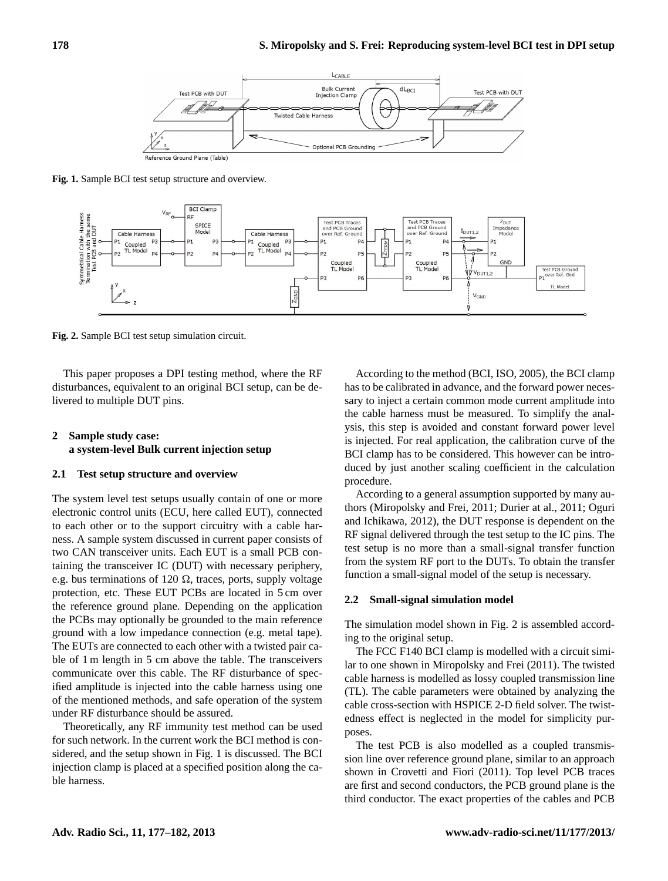

**Fig. 1.** Sample BCI test setup structure and overview.



**Fig. 2.** Sample BCI test setup simulation circuit.

This paper proposes a DPI testing method, where the RF disturbances, equivalent to an original BCI setup, can be delivered to multiple DUT pins.

## **2 Sample study case: a system-level Bulk current injection setup**

#### **2.1 Test setup structure and overview**

The system level test setups usually contain of one or more electronic control units (ECU, here called EUT), connected to each other or to the support circuitry with a cable harness. A sample system discussed in current paper consists of two CAN transceiver units. Each EUT is a small PCB containing the transceiver IC (DUT) with necessary periphery, e.g. bus terminations of 120  $\Omega$ , traces, ports, supply voltage protection, etc. These EUT PCBs are located in 5 cm over the reference ground plane. Depending on the application the PCBs may optionally be grounded to the main reference ground with a low impedance connection (e.g. metal tape). The EUTs are connected to each other with a twisted pair cable of 1 m length in 5 cm above the table. The transceivers communicate over this cable. The RF disturbance of specified amplitude is injected into the cable harness using one of the mentioned methods, and safe operation of the system under RF disturbance should be assured.

Theoretically, any RF immunity test method can be used for such network. In the current work the BCI method is considered, and the setup shown in Fig. 1 is discussed. The BCI injection clamp is placed at a specified position along the cable harness.

According to the method (BCI, ISO, 2005), the BCI clamp has to be calibrated in advance, and the forward power necessary to inject a certain common mode current amplitude into the cable harness must be measured. To simplify the analysis, this step is avoided and constant forward power level is injected. For real application, the calibration curve of the BCI clamp has to be considered. This however can be introduced by just another scaling coefficient in the calculation procedure.

According to a general assumption supported by many authors (Miropolsky and Frei, 2011; Durier at al., 2011; Oguri and Ichikawa, 2012), the DUT response is dependent on the RF signal delivered through the test setup to the IC pins. The test setup is no more than a small-signal transfer function from the system RF port to the DUTs. To obtain the transfer function a small-signal model of the setup is necessary.

#### **2.2 Small-signal simulation model**

The simulation model shown in Fig. 2 is assembled according to the original setup.

The FCC F140 BCI clamp is modelled with a circuit similar to one shown in Miropolsky and Frei (2011). The twisted cable harness is modelled as lossy coupled transmission line (TL). The cable parameters were obtained by analyzing the cable cross-section with HSPICE 2-D field solver. The twistedness effect is neglected in the model for simplicity purposes.

The test PCB is also modelled as a coupled transmission line over reference ground plane, similar to an approach shown in Crovetti and Fiori (2011). Top level PCB traces are first and second conductors, the PCB ground plane is the third conductor. The exact properties of the cables and PCB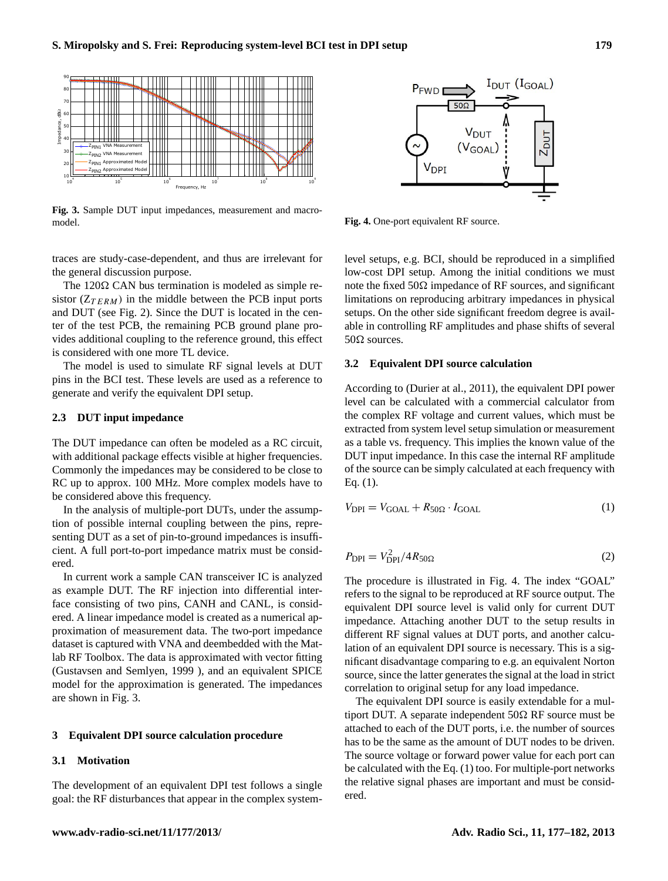

Fig. 3. Sample DUT input impedances, measurement and macromodel.



**Fig. 4.** One-port equivalent RF source.

traces are study-case-dependent, and thus are irrelevant for the general discussion purpose.

and DUT (see Fig. 2). Since the DUT is located in the censistor ( $Z_{TERM}$ ) in the middle between the PCB input ports The 120 $\Omega$  CAN bus termination is modeled as simple reter of the test PCB, the remaining PCB ground plane provides additional coupling to the reference ground, this effect is considered with one more TL device.

The model is used to simulate RF signal levels at DUT pins in the BCI test. These levels are used as a reference to generate and verify the equivalent DPI setup.

## **2.3 DUT input impedance**

The DUT impedance can often be modeled as a RC circuit, with additional package effects visible at higher frequencies. Commonly the impedances may be considered to be close to RC up to approx. 100 MHz. More complex models have to be considered above this frequency.

In the analysis of multiple-port DUTs, under the assumption of possible internal coupling between the pins, representing DUT as a set of pin-to-ground impedances is insufficient. A full port-to-port impedance matrix must be considered.

In current work a sample CAN transceiver IC is analyzed as example DUT. The RF injection into differential interface consisting of two pins, CANH and CANL, is considered. A linear impedance model is created as a numerical approximation of measurement data. The two-port impedance dataset is captured with VNA and deembedded with the Matlab RF Toolbox. The data is approximated with vector fitting (Gustavsen and Semlyen, 1999 ), and an equivalent SPICE model for the approximation is generated. The impedances are shown in Fig. 3.

#### **3 Equivalent DPI source calculation procedure**

## **3.1 Motivation**

The development of an equivalent DPI test follows a single goal: the RF disturbances that appear in the complex systemlevel setups, e.g. BCI, should be reproduced in a simplified low-cost DPI setup. Among the initial conditions we must note the fixed  $50\Omega$  impedance of RF sources, and significant limitations on reproducing arbitrary impedances in physical setups. On the other side significant freedom degree is available in controlling RF amplitudes and phase shifts of several  $50\Omega$  sources.

#### **3.2 Equivalent DPI source calculation**

According to (Durier at al., 2011), the equivalent DPI power level can be calculated with a commercial calculator from the complex RF voltage and current values, which must be extracted from system level setup simulation or measurement as a table vs. frequency. This implies the known value of the DUT input impedance. In this case the internal RF amplitude of the source can be simply calculated at each frequency with Eq. (1).

$$
V_{\rm DPI} = V_{\rm GOAL} + R_{50\Omega} \cdot I_{\rm GOAL} \tag{1}
$$

$$
P_{\rm DPI} = V_{\rm DPI}^2 / 4R_{50\Omega} \tag{2}
$$

The procedure is illustrated in Fig. 4. The index "GOAL" refers to the signal to be reproduced at RF source output. The equivalent DPI source level is valid only for current DUT impedance. Attaching another DUT to the setup results in different RF signal values at DUT ports, and another calculation of an equivalent DPI source is necessary. This is a significant disadvantage comparing to e.g. an equivalent Norton source, since the latter generates the signal at the load in strict correlation to original setup for any load impedance.

The equivalent DPI source is easily extendable for a multiport DUT. A separate independent  $50\Omega$  RF source must be attached to each of the DUT ports, i.e. the number of sources has to be the same as the amount of DUT nodes to be driven. The source voltage or forward power value for each port can be calculated with the Eq. (1) too. For multiple-port networks the relative signal phases are important and must be considered.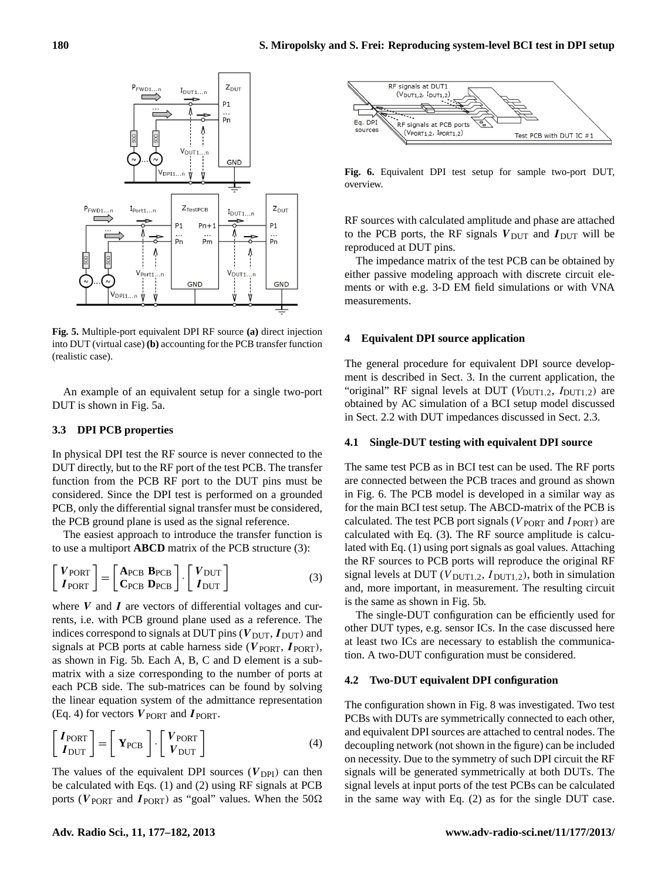

**Fig. 5.** Multiple-port equivalent DPI RF source **(a)** direct injection into DUT (virtual case) **(b)** accounting for the PCB transfer function (realistic case).

An example of an equivalent setup for a single two-port DUT is shown in Fig. 5a.

## **3.3 DPI PCB properties**

In physical DPI test the RF source is never connected to the DUT directly, but to the RF port of the test PCB. The transfer function from the PCB RF port to the DUT pins must be considered. Since the DPI test is performed on a grounded PCB, only the differential signal transfer must be considered, the PCB ground plane is used as the signal reference.

The easiest approach to introduce the transfer function is to use a multiport **ABCD** matrix of the PCB structure (3):

$$
\begin{bmatrix} V_{\text{PORT}} \\ I_{\text{PORT}} \end{bmatrix} = \begin{bmatrix} A_{\text{PCB}} & B_{\text{PCB}} \\ C_{\text{PCB}} & D_{\text{PCB}} \end{bmatrix} \cdot \begin{bmatrix} V_{\text{DUT}} \\ I_{\text{DUT}} \end{bmatrix} \tag{3}
$$

where  $V$  and  $I$  are vectors of differential voltages and currents, i.e. with PCB ground plane used as a reference. The indices correspond to signals at DUT pins ( $V_{\text{DUT}}$ ,  $I_{\text{DUT}}$ ) and signals at PCB ports at cable harness side ( $V_{\text{PORT}}$ ,  $I_{\text{PORT}}$ ), as shown in Fig. 5b. Each A, B, C and D element is a submatrix with a size corresponding to the number of ports at each PCB side. The sub-matrices can be found by solving the linear equation system of the admittance representation (Eq. 4) for vectors  $V_{\text{PORT}}$  and  $I_{\text{PORT}}$ .

$$
\begin{bmatrix} I_{\text{PORT}} \\ I_{\text{DUT}} \end{bmatrix} = \begin{bmatrix} Y_{\text{PCB}} \\ Y_{\text{DUT}} \end{bmatrix} \cdot \begin{bmatrix} V_{\text{PORT}} \\ V_{\text{DUT}} \end{bmatrix}
$$
 (4)

The values of the equivalent DPI sources  $(V_{\text{DPI}})$  can then be calculated with Eqs. (1) and (2) using RF signals at PCB ports ( $V_{\text{PORT}}$  and  $I_{\text{PORT}}$ ) as "goal" values. When the 50 $\Omega$ 



**Fig. 6.** Equivalent DPI test setup for sample two-port DUT, overview.

RF sources with calculated amplitude and phase are attached to the PCB ports, the RF signals  $V_{\text{DUT}}$  and  $I_{\text{DUT}}$  will be reproduced at DUT pins.

The impedance matrix of the test PCB can be obtained by either passive modeling approach with discrete circuit elements or with e.g. 3-D EM field simulations or with VNA measurements.

#### **4 Equivalent DPI source application**

The general procedure for equivalent DPI source development is described in Sect. 3. In the current application, the "original" RF signal levels at DUT  $(V_{\text{DUT1,2}}, I_{\text{DUT1,2}})$  are obtained by AC simulation of a BCI setup model discussed in Sect. 2.2 with DUT impedances discussed in Sect. 2.3.

#### **4.1 Single-DUT testing with equivalent DPI source**

The same test PCB as in BCI test can be used. The RF ports are connected between the PCB traces and ground as shown in Fig. 6. The PCB model is developed in a similar way as for the main BCI test setup. The ABCD-matrix of the PCB is calculated. The test PCB port signals ( $V_{\text{PORT}}$  and  $I_{\text{PORT}}$ ) are calculated with Eq. (3). The RF source amplitude is calculated with Eq. (1) using port signals as goal values. Attaching the RF sources to PCB ports will reproduce the original RF signal levels at DUT ( $V_{\text{DUT1.2}}$ ,  $I_{\text{DUT1.2}}$ ), both in simulation and, more important, in measurement. The resulting circuit is the same as shown in Fig. 5b.

The single-DUT configuration can be efficiently used for other DUT types, e.g. sensor ICs. In the case discussed here at least two ICs are necessary to establish the communication. A two-DUT configuration must be considered.

#### **4.2 Two-DUT equivalent DPI configuration**

The configuration shown in Fig. 8 was investigated. Two test PCBs with DUTs are symmetrically connected to each other, and equivalent DPI sources are attached to central nodes. The decoupling network (not shown in the figure) can be included on necessity. Due to the symmetry of such DPI circuit the RF signals will be generated symmetrically at both DUTs. The signal levels at input ports of the test PCBs can be calculated in the same way with Eq. (2) as for the single DUT case.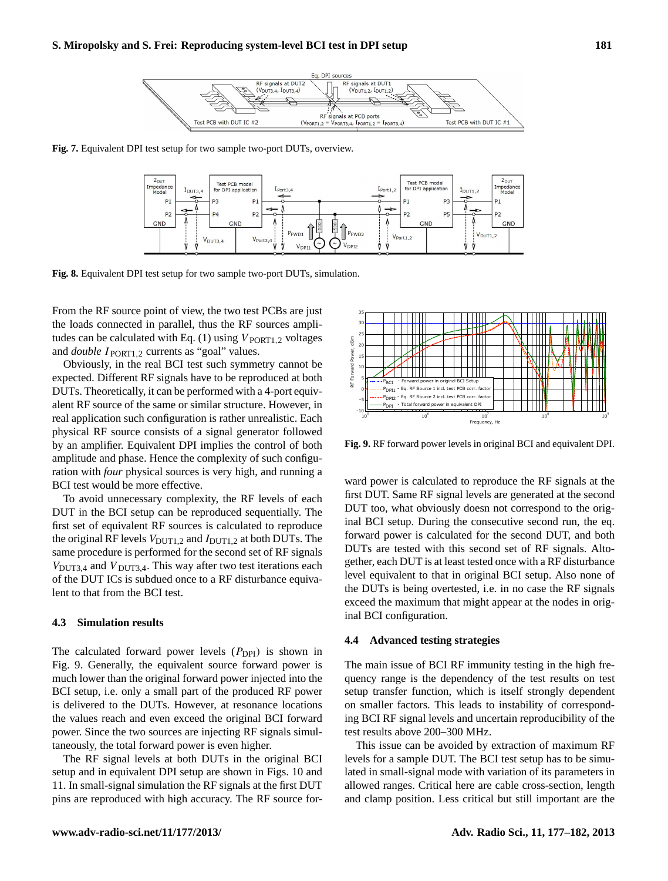

**Fig. 7.** Equivalent DPI test setup for two sample two-port DUTs, overview.



**Fig. 8.** Equivalent DPI test setup for two sample two-port DUTs, simulation.

From the RF source point of view, the two test PCBs are just the loads connected in parallel, thus the RF sources amplitudes can be calculated with Eq.  $(1)$  using  $V_{\text{PORT1,2}}$  voltages and *double* I **PORT1.2** currents as "goal" values.

Obviously, in the real BCI test such symmetry cannot be expected. Different RF signals have to be reproduced at both DUTs. Theoretically, it can be performed with a 4-port equivalent RF source of the same or similar structure. However, in real application such configuration is rather unrealistic. Each physical RF source consists of a signal generator followed by an amplifier. Equivalent DPI implies the control of both amplitude and phase. Hence the complexity of such configuration with *four* physical sources is very high, and running a BCI test would be more effective.

To avoid unnecessary complexity, the RF levels of each DUT in the BCI setup can be reproduced sequentially. The first set of equivalent RF sources is calculated to reproduce the original RF levels  $V_{\text{DUT1.2}}$  and  $I_{\text{DUT1.2}}$  at both DUTs. The same procedure is performed for the second set of RF signals  $V_{\text{DUT3,4}}$  and  $V_{\text{DUT3,4}}$ . This way after two test iterations each of the DUT ICs is subdued once to a RF disturbance equivalent to that from the BCI test.

## **4.3 Simulation results**

The calculated forward power levels  $(P_{\text{DPI}})$  is shown in Fig. 9. Generally, the equivalent source forward power is much lower than the original forward power injected into the BCI setup, i.e. only a small part of the produced RF power is delivered to the DUTs. However, at resonance locations the values reach and even exceed the original BCI forward power. Since the two sources are injecting RF signals simultaneously, the total forward power is even higher.

The RF signal levels at both DUTs in the original BCI setup and in equivalent DPI setup are shown in Figs. 10 and 11. In small-signal simulation the RF signals at the first DUT pins are reproduced with high accuracy. The RF source for-



**Fig. 9.** RF forward power levels in original BCI and equivalent DPI.

DUTs are tested with this second set of RF signals. Alto-Figure 2012 Strap Control of the second DUT, and both forward power is calculated for the second DUT, and both inal BCI setup. During the consecutive second run, the eq. first DUT. Same RF signal levels are generated at the second ward power is calculated to reproduce the RF signals at the gether, each DUT is at least tested once with a RF disturbance var<br>rst<br>0U<br>nal level equivalent to that in original BCI setup. Also none of inal BCI configuration. exceed the maximum that might appear at the nodes in origthe DUTs is being overtested, i.e. in no case the RF signals nal<br>**.4**<br>The DUT too, what obviously doesn not correspond to the orig-

#### 0 **4.4 Advanced testing strategies**

setup transfer function, which is itself strongly dependent quency range is the dependency of the test results on test The main issue of BCI RF immunity testing in the high freon smaller factors. This leads to instability of corresponding BCI RF signal levels and uncertain reproducibility of the test results above 200–300 MHz.

This issue can be avoided by extraction of maximum RF levels for a sample DUT. The BCI test setup has to be simulated in small-signal mode with variation of its parameters in allowed ranges. Critical here are cable cross-section, length and clamp position. Less critical but still important are the